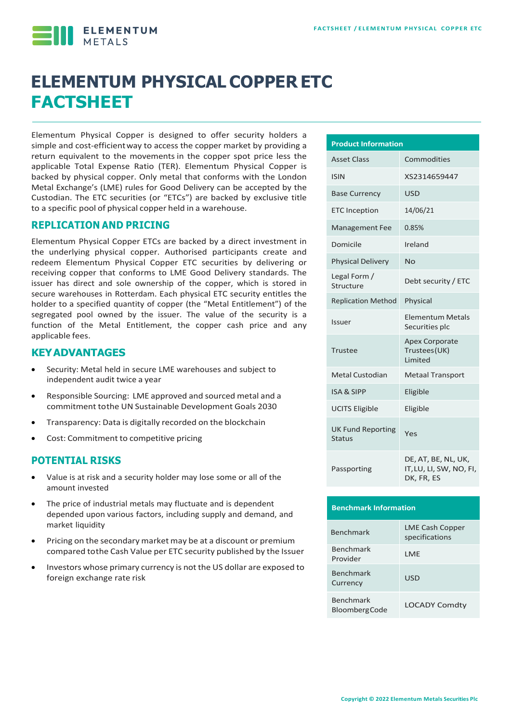**ELEMENTUM** 

# **ELEMENTUM PHYSICAL COPPER ETC FACTSHEET**

Elementum Physical Copper is designed to offer security holders a simple and cost-efficientway to access the copper market by providing a return equivalent to the movements in the copper spot price less the applicable Total Expense Ratio (TER). Elementum Physical Copper is backed by physical copper. Only metal that conforms with the London Metal Exchange's (LME) rules for Good Delivery can be accepted by the Custodian. The ETC securities (or "ETCs") are backed by exclusive title to a specific pool of physical copper held in a warehouse.

#### **REPLICATION AND PRICING**

Elementum Physical Copper ETCs are backed by a direct investment in the underlying physical copper. Authorised participants create and redeem Elementum Physical Copper ETC securities by delivering or receiving copper that conforms to LME Good Delivery standards. The issuer has direct and sole ownership of the copper, which is stored in secure warehouses in Rotterdam. Each physical ETC security entitles the holder to a specified quantity of copper (the "Metal Entitlement") of the segregated pool owned by the issuer. The value of the security is a function of the Metal Entitlement, the copper cash price and any applicable fees.

#### **KEYADVANTAGES**

- Security: Metal held in secure LME warehouses and subject to independent audit twice a year
- Responsible Sourcing: LME approved and sourced metal and a commitment tothe UN Sustainable Development Goals 2030
- Transparency: Data is digitally recorded on the blockchain
- Cost: Commitment to competitive pricing

#### **POTENTIAL RISKS**

- Value is at risk and a security holder may lose some or all of the amount invested
- The price of industrial metals may fluctuate and is dependent depended upon various factors, including supply and demand, and market liquidity
- Pricing on the secondary market may be at a discount or premium compared tothe Cash Value per ETC security published by the Issuer
- Investors whose primary currency is not the US dollar are exposed to foreign exchange rate risk

| <b>Product Information</b>         |                                                              |  |  |  |  |  |
|------------------------------------|--------------------------------------------------------------|--|--|--|--|--|
| <b>Asset Class</b>                 | Commodities                                                  |  |  |  |  |  |
| <b>ISIN</b>                        | XS2314659447                                                 |  |  |  |  |  |
| <b>Base Currency</b>               | <b>USD</b>                                                   |  |  |  |  |  |
| <b>ETC</b> Inception               | 14/06/21                                                     |  |  |  |  |  |
| <b>Management Fee</b>              | 0.85%                                                        |  |  |  |  |  |
| Domicile                           | Ireland                                                      |  |  |  |  |  |
| <b>Physical Delivery</b>           | No                                                           |  |  |  |  |  |
| Legal Form /<br>Structure          | Debt security / ETC                                          |  |  |  |  |  |
| <b>Replication Method</b>          | Physical                                                     |  |  |  |  |  |
| <b>Issuer</b>                      | <b>Elementum Metals</b><br>Securities plc                    |  |  |  |  |  |
| Trustee                            | <b>Apex Corporate</b><br>Trustees(UK)<br>Limited             |  |  |  |  |  |
| Metal Custodian                    | <b>Metaal Transport</b>                                      |  |  |  |  |  |
| <b>ISA &amp; SIPP</b>              | Eligible                                                     |  |  |  |  |  |
| <b>UCITS Eligible</b>              | Eligible                                                     |  |  |  |  |  |
| <b>UK Fund Reporting</b><br>Status | Yes                                                          |  |  |  |  |  |
| Passporting                        | DE, AT, BE, NL, UK,<br>IT, LU, LI, SW, NO, FI,<br>DK, FR, ES |  |  |  |  |  |

# **Benchmark Information** Benchmark LME Cash Copper specifications Benchmark **Provider** LME Benchmark Benchmark<br>Currency USD Benchmark BloombergCode LOCADY Comdty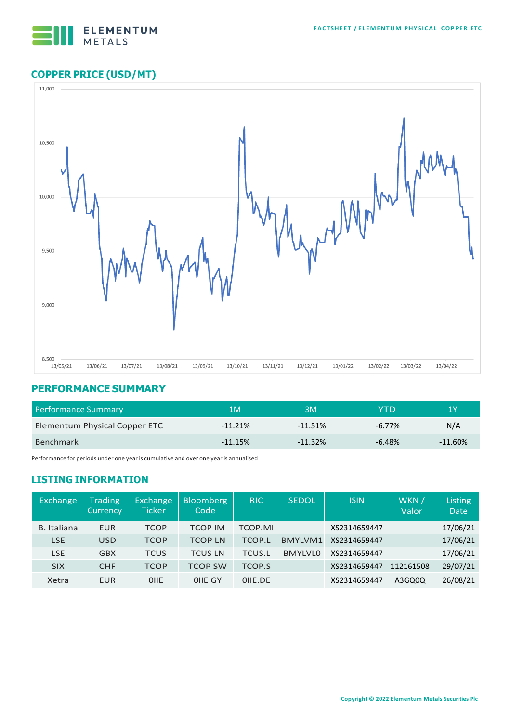

# **COPPER PRICE (USD/MT)**



## **PERFORMANCE SUMMARY**

| Performance Summary           | 1M        | ЗM        | YTD       | '1 Y      |
|-------------------------------|-----------|-----------|-----------|-----------|
| Elementum Physical Copper ETC | $-11.21%$ | $-11.51%$ | $-6.77\%$ | N/A       |
| Benchmark                     | $-11.15%$ | $-11.32%$ | $-6.48%$  | $-11.60%$ |

Performance for periods under one year is cumulative and over one year is annualised

## **LISTING INFORMATION**

| Exchange    | <b>Trading</b><br><b>Currency</b> | Exchange<br>Ticker | <b>Bloomberg</b><br>Code | <b>RIC</b>     | <b>SEDOL</b>   | <b>ISIN</b>  | WKN /<br>Valor | Listing<br><b>Date</b> |
|-------------|-----------------------------------|--------------------|--------------------------|----------------|----------------|--------------|----------------|------------------------|
| B. Italiana | EUR                               | <b>TCOP</b>        | <b>TCOP IM</b>           | <b>TCOP.MI</b> |                | XS2314659447 |                | 17/06/21               |
| <b>LSE</b>  | <b>USD</b>                        | <b>TCOP</b>        | <b>TCOP LN</b>           | <b>TCOP.L</b>  | <b>BMYLVM1</b> | XS2314659447 |                | 17/06/21               |
| LSE         | <b>GBX</b>                        | <b>TCUS</b>        | <b>TCUS LN</b>           | <b>TCUS.L</b>  | <b>BMYLVLO</b> | XS2314659447 |                | 17/06/21               |
| <b>SIX</b>  | <b>CHF</b>                        | <b>TCOP</b>        | <b>TCOP SW</b>           | <b>TCOP.S</b>  |                | XS2314659447 | 112161508      | 29/07/21               |
| Xetra       | <b>EUR</b>                        | OIIE               | OIIE GY                  | OIIE.DE        |                | XS2314659447 | A3GQ0Q         | 26/08/21               |